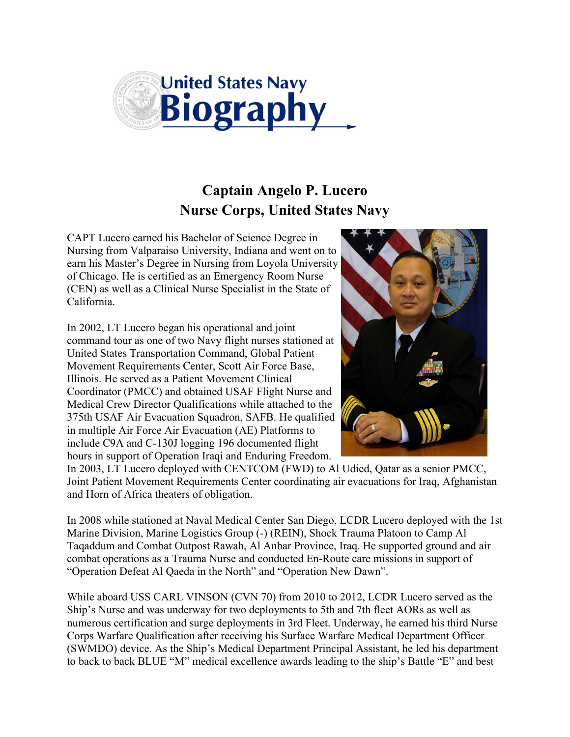

## **Captain Angelo P. Lucero Nurse Corps, United States Navy**

CAPT Lucero earned his Bachelor of Science Degree in Nursing from Valparaiso University, Indiana and went on to earn his Master's Degree in Nursing from Loyola University of Chicago. He is certified as an Emergency Room Nurse (CEN) as well as a Clinical Nurse Specialist in the State of California.

In 2002, LT Lucero began his operational and joint command tour as one of two Navy flight nurses stationed at United States Transportation Command, Global Patient Movement Requirements Center, Scott Air Force Base, Illinois. He served as a Patient Movement Clinical Coordinator (PMCC) and obtained USAF Flight Nurse and Medical Crew Director Qualifications while attached to the 375th USAF Air Evacuation Squadron, SAFB. He qualified in multiple Air Force Air Evacuation (AE) Platforms to include C9A and C-130J logging 196 documented flight hours in support of Operation Iraqi and Enduring Freedom.



In 2003, LT Lucero deployed with CENTCOM (FWD) to Al Udied, Qatar as a senior PMCC, Joint Patient Movement Requirements Center coordinating air evacuations for Iraq, Afghanistan and Horn of Africa theaters of obligation.

In 2008 while stationed at Naval Medical Center San Diego, LCDR Lucero deployed with the 1st Marine Division, Marine Logistics Group (-) (REIN), Shock Trauma Platoon to Camp Al Taqaddum and Combat Outpost Rawah, Al Anbar Province, Iraq. He supported ground and air combat operations as a Trauma Nurse and conducted En-Route care missions in support of "Operation Defeat Al Qaeda in the North" and "Operation New Dawn".

While aboard USS CARL VINSON (CVN 70) from 2010 to 2012, LCDR Lucero served as the Ship's Nurse and was underway for two deployments to 5th and 7th fleet AORs as well as numerous certification and surge deployments in 3rd Fleet. Underway, he earned his third Nurse Corps Warfare Qualification after receiving his Surface Warfare Medical Department Officer (SWMDO) device. As the Ship's Medical Department Principal Assistant, he led his department to back to back BLUE "M" medical excellence awards leading to the ship's Battle "E" and best